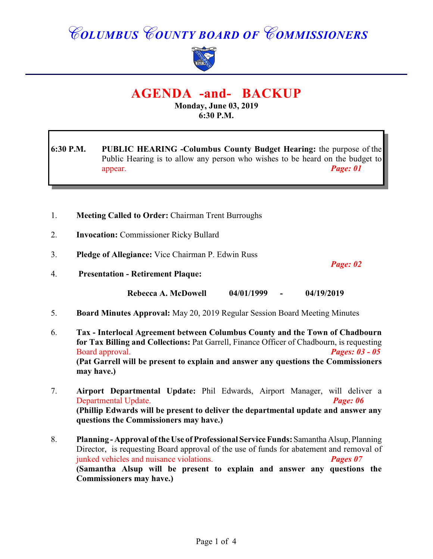## *COLUMBUS COUNTY BOARD OF COMMISSIONERS*



## **AGENDA -and- BACKUP**

**Monday, June 03, 2019 6:30 P.M.**

**6:30 P.M. PUBLIC HEARING -Columbus County Budget Hearing:** the purpose of the Public Hearing is to allow any person who wishes to be heard on the budget to appear. *Page: 01*

- 1. **Meeting Called to Order:** Chairman Trent Burroughs
- 2. **Invocation:** Commissioner Ricky Bullard
- 3. **Pledge of Allegiance:** Vice Chairman P. Edwin Russ

4. **Presentation - Retirement Plaque:**

*Page: 02*

**Rebecca A. McDowell 04/01/1999 - 04/19/2019**

- 5. **Board Minutes Approval:** May 20, 2019 Regular Session Board Meeting Minutes
- 6. **Tax Interlocal Agreement between Columbus County and the Town of Chadbourn for Tax Billing and Collections:** Pat Garrell, Finance Officer of Chadbourn, is requesting Board approval. *Pages: 03 - 05* **(Pat Garrell will be present to explain and answer any questions the Commissioners may have.)**
- 7. **Airport Departmental Update:** Phil Edwards, Airport Manager, will deliver a Departmental Update. *Page: 06* **(Phillip Edwards will be present to deliver the departmental update and answer any questions the Commissioners may have.)**
- 8. **Planning Approval of the Use of Professional Service Funds:** Samantha Alsup, Planning Director, is requesting Board approval of the use of funds for abatement and removal of junked vehicles and nuisance violations. *Pages 07* **(Samantha Alsup will be present to explain and answer any questions the Commissioners may have.)**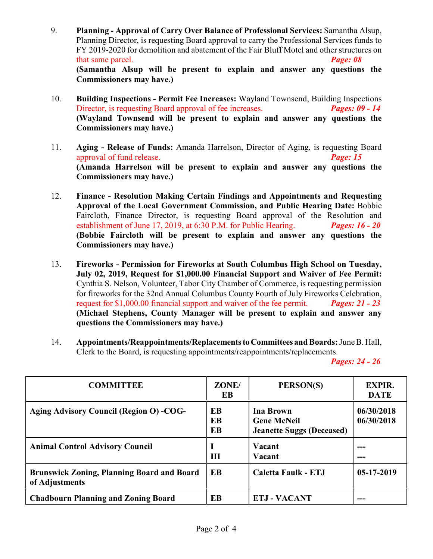- 9. **Planning Approval of Carry Over Balance of Professional Services:** Samantha Alsup, Planning Director, is requesting Board approval to carry the Professional Services funds to FY 2019-2020 for demolition and abatement of the Fair Bluff Motel and other structures on that same parcel. *Page: 08* **(Samantha Alsup will be present to explain and answer any questions the Commissioners may have.)**
- 10. **Building Inspections Permit Fee Increases:** Wayland Townsend, Building Inspections Director, is requesting Board approval of fee increases. *Pages: 09 - 14* **(Wayland Townsend will be present to explain and answer any questions the Commissioners may have.)**
- 11. **Aging Release of Funds:** Amanda Harrelson, Director of Aging, is requesting Board approval of fund release. *Page: 15*  **(Amanda Harrelson will be present to explain and answer any questions the Commissioners may have.)**
- 12. **Finance Resolution Making Certain Findings and Appointments and Requesting Approval of the Local Government Commission, and Public Hearing Date:** Bobbie Faircloth, Finance Director, is requesting Board approval of the Resolution and establishment of June 17, 2019, at 6:30 P.M. for Public Hearing. *Pages: 16 - 20* **(Bobbie Faircloth will be present to explain and answer any questions the Commissioners may have.)**
- 13. **Fireworks Permission for Fireworks at South Columbus High School on Tuesday, July 02, 2019, Request for \$1,000.00 Financial Support and Waiver of Fee Permit:** Cynthia S. Nelson, Volunteer, Tabor City Chamber of Commerce, is requesting permission for fireworks for the 32nd Annual Columbus County Fourth of July Fireworks Celebration, request for \$1,000.00 financial support and waiver of the fee permit. *Pages: 21 - 23* **(Michael Stephens, County Manager will be present to explain and answer any questions the Commissioners may have.)**
- 14. **Appointments/Reappointments/Replacements to Committees and Boards:** June B. Hall, Clerk to the Board, is requesting appointments/reappointments/replacements.

*Pages: 24 - 26*

| <b>COMMITTEE</b>                                                    | ZONE/<br>EB           | PERSON(S)                                                           | <b>EXPIR.</b><br><b>DATE</b> |
|---------------------------------------------------------------------|-----------------------|---------------------------------------------------------------------|------------------------------|
| <b>Aging Advisory Council (Region O) -COG-</b>                      | EB<br><b>EB</b><br>EB | Ina Brown<br><b>Gene McNeil</b><br><b>Jeanette Suggs (Deceased)</b> | 06/30/2018<br>06/30/2018     |
| <b>Animal Control Advisory Council</b>                              | Ш                     | Vacant<br>Vacant                                                    |                              |
| <b>Brunswick Zoning, Planning Board and Board</b><br>of Adjustments | <b>EB</b>             | Caletta Faulk - ETJ                                                 | $05-17-2019$                 |
| <b>Chadbourn Planning and Zoning Board</b>                          | EB                    | <b>ETJ - VACANT</b>                                                 |                              |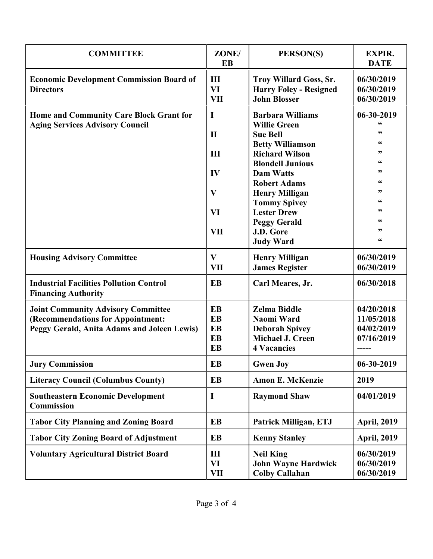| <b>COMMITTEE</b>                                                                         | ZONE/<br>EB                    | PERSON(S)                                                                             | <b>EXPIR.</b><br><b>DATE</b>           |
|------------------------------------------------------------------------------------------|--------------------------------|---------------------------------------------------------------------------------------|----------------------------------------|
| <b>Economic Development Commission Board of</b><br><b>Directors</b>                      | III<br><b>VI</b><br><b>VII</b> | <b>Troy Willard Goss, Sr.</b><br><b>Harry Foley - Resigned</b><br><b>John Blosser</b> | 06/30/2019<br>06/30/2019<br>06/30/2019 |
| <b>Home and Community Care Block Grant for</b><br><b>Aging Services Advisory Council</b> | I                              | <b>Barbara Williams</b>                                                               | 06-30-2019                             |
|                                                                                          | $\mathbf{I}$                   | <b>Willie Green</b><br><b>Sue Bell</b>                                                | 66<br>,,                               |
|                                                                                          |                                | <b>Betty Williamson</b>                                                               | 66                                     |
|                                                                                          | III                            | <b>Richard Wilson</b>                                                                 | , 2, 3                                 |
|                                                                                          |                                | <b>Blondell Junious</b>                                                               | 66                                     |
|                                                                                          | IV<br>$\mathbf{V}$             | <b>Dam Watts</b>                                                                      | , 2, 3<br>66                           |
|                                                                                          |                                | <b>Robert Adams</b>                                                                   | "                                      |
|                                                                                          |                                | <b>Henry Milligan</b><br><b>Tommy Spivey</b>                                          | 66                                     |
|                                                                                          | VI                             | <b>Lester Drew</b>                                                                    | ,,                                     |
|                                                                                          |                                | <b>Peggy Gerald</b>                                                                   | 66                                     |
|                                                                                          | <b>VII</b>                     | J.D. Gore                                                                             | "                                      |
|                                                                                          |                                | <b>Judy Ward</b>                                                                      | $\mathsf{G}\mathsf{G}$                 |
| <b>Housing Advisory Committee</b>                                                        | $\mathbf{V}$                   | <b>Henry Milligan</b>                                                                 | 06/30/2019                             |
|                                                                                          | <b>VII</b>                     | <b>James Register</b>                                                                 | 06/30/2019                             |
| <b>Industrial Facilities Pollution Control</b><br><b>Financing Authority</b>             | <b>EB</b>                      | Carl Meares, Jr.                                                                      | 06/30/2018                             |
| <b>Joint Community Advisory Committee</b>                                                | <b>EB</b>                      | <b>Zelma Biddle</b>                                                                   | 04/20/2018                             |
| (Recommendations for Appointment:                                                        | <b>EB</b>                      | Naomi Ward                                                                            | 11/05/2018                             |
| Peggy Gerald, Anita Adams and Joleen Lewis)                                              | <b>EB</b>                      | <b>Deborah Spivey</b>                                                                 | 04/02/2019                             |
|                                                                                          | <b>EB</b>                      | Michael J. Creen                                                                      | 07/16/2019                             |
|                                                                                          | <b>EB</b>                      | <b>4 Vacancies</b>                                                                    |                                        |
| <b>Jury Commission</b>                                                                   | <b>EB</b>                      | <b>Gwen Joy</b>                                                                       | 06-30-2019                             |
| <b>Literacy Council (Columbus County)</b>                                                | <b>EB</b>                      | <b>Amon E. McKenzie</b>                                                               | 2019                                   |
| <b>Southeastern Economic Development</b><br><b>Commission</b>                            | $\mathbf I$                    | <b>Raymond Shaw</b>                                                                   | 04/01/2019                             |
| <b>Tabor City Planning and Zoning Board</b>                                              | <b>EB</b>                      | Patrick Milligan, ETJ                                                                 | <b>April, 2019</b>                     |
| <b>Tabor City Zoning Board of Adjustment</b>                                             | EB                             | <b>Kenny Stanley</b>                                                                  | <b>April, 2019</b>                     |
| <b>Voluntary Agricultural District Board</b>                                             | III<br><b>VI</b><br><b>VII</b> | <b>Neil King</b><br><b>John Wayne Hardwick</b><br><b>Colby Callahan</b>               | 06/30/2019<br>06/30/2019<br>06/30/2019 |